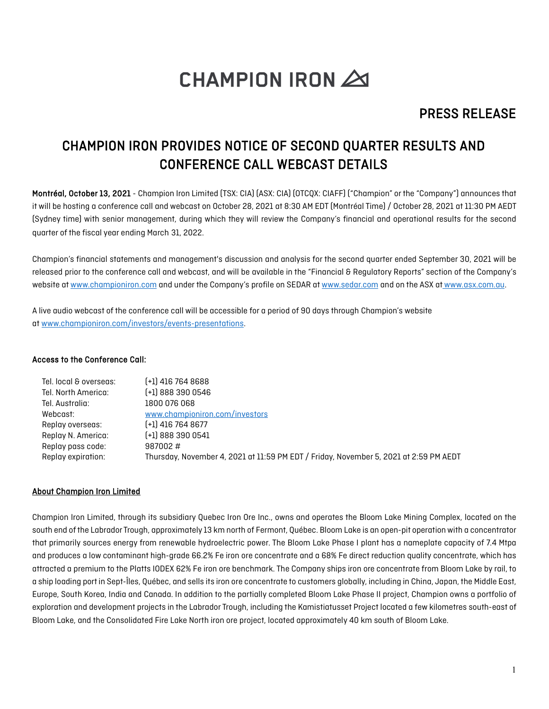# **CHAMPION IRON 20**

### PRESS RELEASE

## CHAMPION IRON PROVIDES NOTICE OF SECOND QUARTER RESULTS AND CONFERENCE CALL WEBCAST DETAILS

Montréal, October 13, 2021 - Champion Iron Limited (TSX: CIA) (ASX: CIA) (OTCOX: CIAFF) ("Champion" or the "Company") announces that it will be hosting a conference call and webcast on October 28, 2021 at 8:30 AM EDT (Montréal Time) / October 28, 2021 at 11:30 PM AEDT (Sydney time) with senior management, during which they will review the Company's financial and operational results for the second quarter of the fiscal year ending March 31, 2022.

Champion's financial statements and management's discussion and analysis for the second quarter ended September 30, 2021 will be released prior to the conference call and webcast, and will be available in the "Financial & Regulatory Reports" section of the Company's website a[t www.championiron.com](https://www.championiron.com/investors/financial-regulatory-reports/) and under the Company's profile on SEDAR a[t www.sedar.com](http://www.sedar.com/) and on the ASX at [www.asx.com.au.](http://www.asx.com.au/)

A live audio webcast of the conference call will be accessible for a period of 90 days through Champion's website at [www.championiron.com/investors/events-presentations.](https://www.championiron.com/investors/events-presentations/)

#### Access to the Conference Call:

| Tel. local & overseas: | $[-1]$ 416 764 8688                                                                   |
|------------------------|---------------------------------------------------------------------------------------|
| Tel. North America:    | $[-1]$ 888 390 0546                                                                   |
| Tel. Australia:        | 1800 076 068                                                                          |
| Webcast:               | www.championiron.com/investors                                                        |
| Replay overseas:       | $[-1]$ 416 764 8677                                                                   |
| Replay N. America:     | $(+1)$ 888 390 0541                                                                   |
| Replay pass code:      | 987002#                                                                               |
| Replay expiration:     | Thursday, November 4, 2021 at 11:59 PM EDT / Friday, November 5, 2021 at 2:59 PM AEDT |

#### About Champion Iron Limited

Champion Iron Limited, through its subsidiary Quebec Iron Ore Inc., owns and operates the Bloom Lake Mining Complex, located on the south end of the Labrador Trough, approximately 13 km north of Fermont, Québec. Bloom Lake is an open-pit operation with a concentrator that primarily sources energy from renewable hydroelectric power. The Bloom Lake Phase I plant has a nameplate capacity of 7.4 Mtpa and produces a low contaminant high-grade 66.2% Fe iron ore concentrate and a 68% Fe direct reduction quality concentrate, which has attracted a premium to the Platts IODEX 62% Fe iron ore benchmark. The Company ships iron ore concentrate from Bloom Lake by rail, to a ship loading port in Sept-Îles, Québec, and sells its iron ore concentrate to customers globally, including in China, Japan, the Middle East, Europe, South Korea, India and Canada. In addition to the partially completed Bloom Lake Phase II project, Champion owns a portfolio of exploration and development projects in the Labrador Trough, including the Kamistiatusset Project located a few kilometres south-east of Bloom Lake, and the Consolidated Fire Lake North iron ore project, located approximately 40 km south of Bloom Lake.